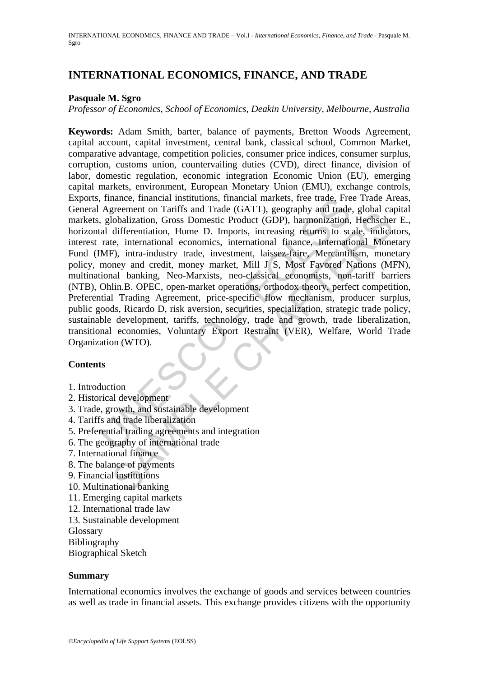# **INTERNATIONAL ECONOMICS, FINANCE, AND TRADE**

# **Pasquale M. Sgro**

*Professor of Economics, School of Economics, Deakin University, Melbourne, Australia* 

, mance, mancial institutions, mancial markets, ree trade, Fre<br>
Agreement on Tariffs and Trade (GATT), geography and trade<br>
(Agreement in Tariffs and Trade (GATT), geography and trade<br>
(La differentiation, Hume D. Imports, Eventric or ratin's and Trade (Gry11), geograpy and trade, groom can<br>lobalization, Gross Domestic Product (GDP), harmonization, Heensche<br>differentiation, Hume D. Imports, increasing returns to scale, indica-<br>et, internatio **Keywords:** Adam Smith, barter, balance of payments, Bretton Woods Agreement, capital account, capital investment, central bank, classical school, Common Market, comparative advantage, competition policies, consumer price indices, consumer surplus, corruption, customs union, countervailing duties (CVD), direct finance, division of labor, domestic regulation, economic integration Economic Union (EU), emerging capital markets, environment, European Monetary Union (EMU), exchange controls, Exports, finance, financial institutions, financial markets, free trade, Free Trade Areas, General Agreement on Tariffs and Trade (GATT), geography and trade, global capital markets, globalization, Gross Domestic Product (GDP), harmonization, Hechscher E., horizontal differentiation, Hume D. Imports, increasing returns to scale, indicators, interest rate, international economics, international finance, International Monetary Fund (IMF), intra-industry trade, investment, laissez-faire, Mercantilism, monetary policy, money and credit, money market, Mill J S, Most Favored Nations (MFN), multinational banking, Neo-Marxists, neo-classical economists, non-tariff barriers (NTB), Ohlin.B. OPEC, open-market operations, orthodox theory, perfect competition, Preferential Trading Agreement, price-specific flow mechanism, producer surplus, public goods, Ricardo D, risk aversion, securities, specialization, strategic trade policy, sustainable development, tariffs, technology, trade and growth, trade liberalization, transitional economies, Voluntary Export Restraint (VER), Welfare, World Trade Organization (WTO).

## **Contents**

- 1. Introduction
- 2. Historical development
- 3. Trade, growth, and sustainable development
- 4. Tariffs and trade liberalization
- 5. Preferential trading agreements and integration
- 6. The geography of international trade
- 7. International finance
- 8. The balance of payments
- 9. Financial institutions
- 10. Multinational banking
- 11. Emerging capital markets
- 12. International trade law
- 13. Sustainable development

Glossary

Bibliography

Biographical Sketch

## **Summary**

International economics involves the exchange of goods and services between countries as well as trade in financial assets. This exchange provides citizens with the opportunity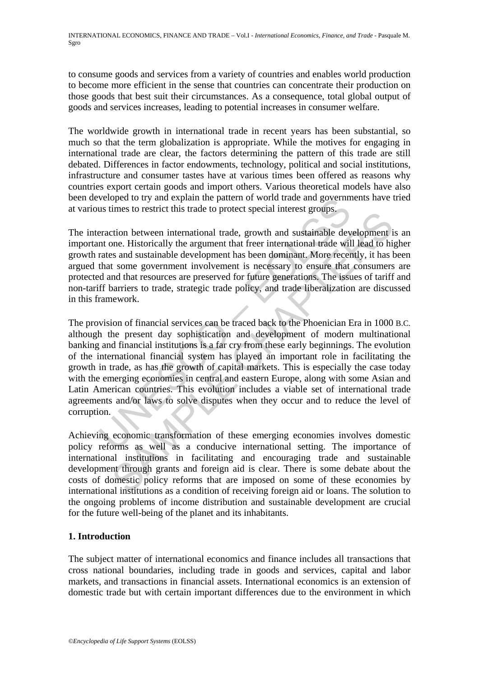to consume goods and services from a variety of countries and enables world production to become more efficient in the sense that countries can concentrate their production on those goods that best suit their circumstances. As a consequence, total global output of goods and services increases, leading to potential increases in consumer welfare.

The worldwide growth in international trade in recent years has been substantial, so much so that the term globalization is appropriate. While the motives for engaging in international trade are clear, the factors determining the pattern of this trade are still debated. Differences in factor endowments, technology, political and social institutions, infrastructure and consumer tastes have at various times been offered as reasons why countries export certain goods and import others. Various theoretical models have also been developed to try and explain the pattern of world trade and governments have tried at various times to restrict this trade to protect special interest groups.

The interaction between international trade, growth and sustainable development is an important one. Historically the argument that freer international trade will lead to higher growth rates and sustainable development has been dominant. More recently, it has been argued that some government involvement is necessary to ensure that consumers are protected and that resources are preserved for future generations. The issues of tariff and non-tariff barriers to trade, strategic trade policy, and trade liberalization are discussed in this framework.

veloped to try and explain the pattern of world trade and governm<br>us times to restrict this trade to protect special interest groups.<br>Fraction between international trade, growth and sustainable devi-<br>nt one. Historically Thes to restarc ints trace to procet special meteos groups.<br>
tion between international trade, growth and sustainable development in<br>
the argument that freer international trade will lead to his<br>
as and sustainable develop The provision of financial services can be traced back to the Phoenician Era in 1000 B.C. although the present day sophistication and development of modern multinational banking and financial institutions is a far cry from these early beginnings. The evolution of the international financial system has played an important role in facilitating the growth in trade, as has the growth of capital markets. This is especially the case today with the emerging economies in central and eastern Europe, along with some Asian and Latin American countries. This evolution includes a viable set of international trade agreements and/or laws to solve disputes when they occur and to reduce the level of corruption.

Achieving economic transformation of these emerging economies involves domestic policy reforms as well as a conducive international setting. The importance of international institutions in facilitating and encouraging trade and sustainable development through grants and foreign aid is clear. There is some debate about the costs of domestic policy reforms that are imposed on some of these economies by international institutions as a condition of receiving foreign aid or loans. The solution to the ongoing problems of income distribution and sustainable development are crucial for the future well-being of the planet and its inhabitants.

# **1. Introduction**

The subject matter of international economics and finance includes all transactions that cross national boundaries, including trade in goods and services, capital and labor markets, and transactions in financial assets. International economics is an extension of domestic trade but with certain important differences due to the environment in which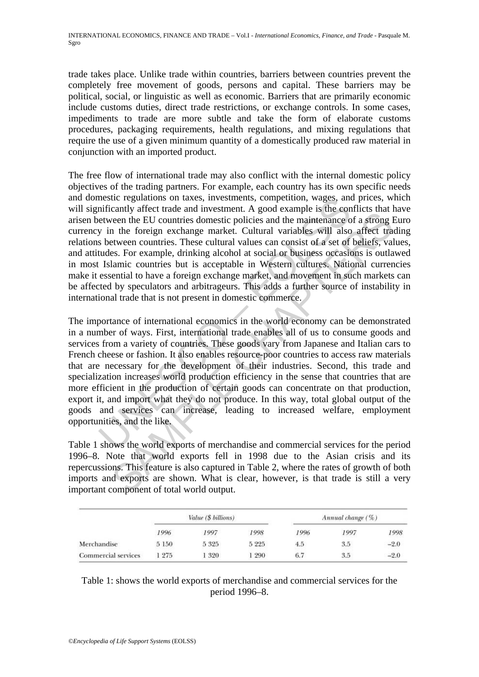trade takes place. Unlike trade within countries, barriers between countries prevent the completely free movement of goods, persons and capital. These barriers may be political, social, or linguistic as well as economic. Barriers that are primarily economic include customs duties, direct trade restrictions, or exchange controls. In some cases, impediments to trade are more subtle and take the form of elaborate customs procedures, packaging requirements, health regulations, and mixing regulations that require the use of a given minimum quantity of a domestically produced raw material in conjunction with an imported product.

The free flow of international trade may also conflict with the internal domestic policy objectives of the trading partners. For example, each country has its own specific needs and domestic regulations on taxes, investments, competition, wages, and prices, which will significantly affect trade and investment. A good example is the conflicts that have arisen between the EU countries domestic policies and the maintenance of a strong Euro currency in the foreign exchange market. Cultural variables will also affect trading relations between countries. These cultural values can consist of a set of beliefs, values, and attitudes. For example, drinking alcohol at social or business occasions is outlawed in most Islamic countries but is acceptable in Western cultures. National currencies make it essential to have a foreign exchange market, and movement in such markets can be affected by speculators and arbitrageurs. This adds a further source of instability in international trade that is not present in domestic commerce.

metricantly affect trade and investments, competition, wages, and<br>inficantly affect trade and investment. A good example is the com-<br>etween the EU countries domestic policies and the maintenance of<br>y in the foreign exchang clearly affect tracte can investment. The good calmple is are commuted to the moment of the momentum of the EU countries domestic policies and the maintenance of a strong I are text extween countries. These cultural values The importance of international economics in the world economy can be demonstrated in a number of ways. First, international trade enables all of us to consume goods and services from a variety of countries. These goods vary from Japanese and Italian cars to French cheese or fashion. It also enables resource-poor countries to access raw materials that are necessary for the development of their industries. Second, this trade and specialization increases world production efficiency in the sense that countries that are more efficient in the production of certain goods can concentrate on that production, export it, and import what they do not produce. In this way, total global output of the goods and services can increase, leading to increased welfare, employment opportunities, and the like.

Table 1 shows the world exports of merchandise and commercial services for the period 1996–8. Note that world exports fell in 1998 due to the Asian crisis and its repercussions. This feature is also captured in Table 2, where the rates of growth of both imports and exports are shown. What is clear, however, is that trade is still a very important component of total world output.

|                     | Value (\$ billions) |       |         | Annual change $(\% )$ |      |        |
|---------------------|---------------------|-------|---------|-----------------------|------|--------|
|                     | 1996                | 1997  | 1998    | 1996                  | 1997 | 1998   |
| Merchandise         | 5 150               | 5325  | 5 2 2 5 | 4.5                   | 3.5  | $-2.0$ |
| Commercial services | 1 275               | 1 320 | 290     | 6.7                   | 3.5  | $-2.0$ |

Table 1: shows the world exports of merchandise and commercial services for the period 1996–8.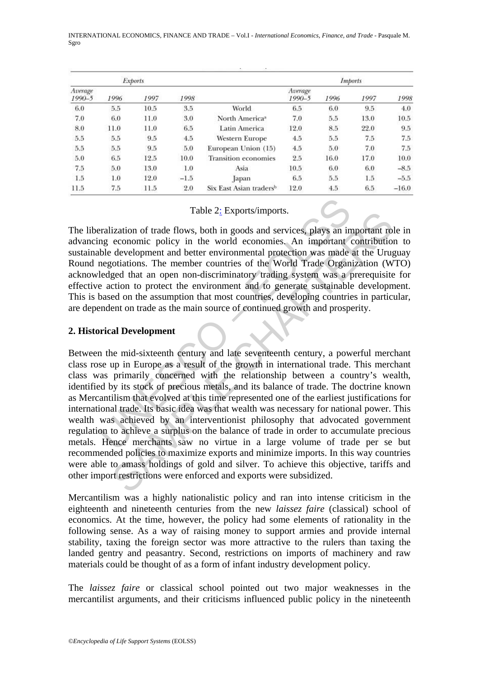INTERNATIONAL ECONOMICS, FINANCE AND TRADE – Vol.I - *International Economics, Finance, and Trade* - Pasquale M. Sgro

|                       |      | <b>Exports</b> |        |                                     |                       |      | Imports |         |
|-----------------------|------|----------------|--------|-------------------------------------|-----------------------|------|---------|---------|
| Average<br>$1990 - 5$ | 1996 | 1997           | 1998   |                                     | Average<br>$1990 - 5$ | 1996 | 1997    | 1998    |
| 6.0                   | 5.5  | 10.5           | 3.5    | World                               | 6.5                   | 6.0  | 9.5     | 4.0     |
| 7.0                   | 6.0  | 11.0           | 3.0    | North America <sup>a</sup>          | 7.0                   | 5.5  | 13.0    | 10.5    |
| 8.0                   | 11.0 | 11.0           | 6.5    | Latin America                       | 12.0                  | 8.5  | 22.0    | 9.5     |
| 5.5                   | 5.5  | 9.5            | 4.5    | Western Europe                      | 4.5                   | 5.5  | 7.5     | 7.5     |
| 5.5                   | 5.5  | 9.5            | 5.0    | European Union (15)                 | 4.5                   | 5.0  | 7.0     | 7.5     |
| 5.0                   | 6.5  | 12.5           | 10.0   | <b>Transition economies</b>         | 2.5                   | 16.0 | 17.0    | 10.0    |
| 7.5                   | 5.0  | 13.0           | 1.0    | Asia                                | 10.5                  | 6.0  | 6.0     | $-8.5$  |
| 1.5                   | 1.0  | 12.0           | $-1.5$ | apan                                | 6.5                   | 5.5  | 1.5     | $-5.5$  |
| 11.5                  | 7.5  | 11.5           | 2.0    | Six East Asian traders <sup>b</sup> | 12.0                  | 4.5  | 6.5     | $-16.0$ |

# Table 2: Exports/imports.

The liberalization of trade flows, both in goods and services, plays an important role in advancing economic policy in the world economies. An important contribution to sustainable development and better environmental protection was made at the Uruguay Round negotiations. The member countries of the World Trade Organization (WTO) acknowledged that an open non-discriminatory trading system was a prerequisite for effective action to protect the environment and to generate sustainable development. This is based on the assumption that most countries, developing countries in particular, are dependent on trade as the main source of continued growth and prosperity.

# **2. Historical Development**

Table  $2_z$  Exports/imports.<br>
Table  $2_z$  Exports/imports.<br>
Fralization of trade flows, both in goods and services, plays an in<br>
mg economic policy in the world economies. An important<br>
the development and better environmen Fraction of trade flows, both in goods and services, plays an important role-<br>economic policy in the world economics. An important contribution<br>development and better environmental protection was made at the Urugo<br>tiation Between the mid-sixteenth century and late seventeenth century, a powerful merchant class rose up in Europe as a result of the growth in international trade. This merchant class was primarily concerned with the relationship between a country's wealth, identified by its stock of precious metals, and its balance of trade. The doctrine known as Mercantilism that evolved at this time represented one of the earliest justifications for international trade. Its basic idea was that wealth was necessary for national power. This wealth was achieved by an interventionist philosophy that advocated government regulation to achieve a surplus on the balance of trade in order to accumulate precious metals. Hence merchants saw no virtue in a large volume of trade per se but recommended policies to maximize exports and minimize imports. In this way countries were able to amass holdings of gold and silver. To achieve this objective, tariffs and other import restrictions were enforced and exports were subsidized.

Mercantilism was a highly nationalistic policy and ran into intense criticism in the eighteenth and nineteenth centuries from the new *laissez faire* (classical) school of economics. At the time, however, the policy had some elements of rationality in the following sense. As a way of raising money to support armies and provide internal stability, taxing the foreign sector was more attractive to the rulers than taxing the landed gentry and peasantry. Second, restrictions on imports of machinery and raw materials could be thought of as a form of infant industry development policy.

The *laissez faire* or classical school pointed out two major weaknesses in the mercantilist arguments, and their criticisms influenced public policy in the nineteenth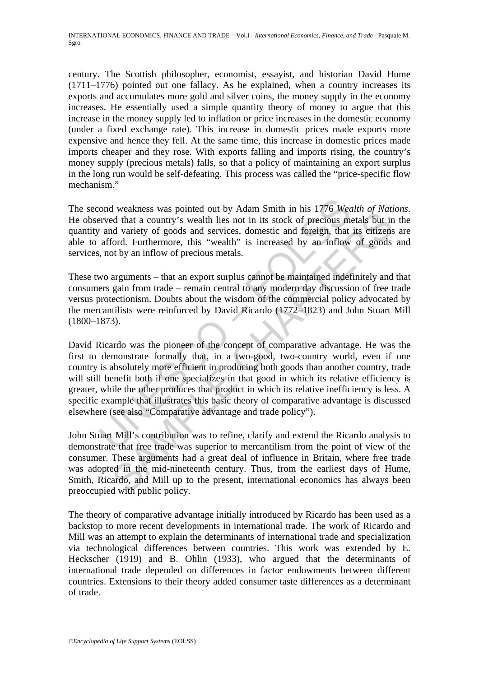century. The Scottish philosopher, economist, essayist, and historian David Hume (1711–1776) pointed out one fallacy. As he explained, when a country increases its exports and accumulates more gold and silver coins, the money supply in the economy increases. He essentially used a simple quantity theory of money to argue that this increase in the money supply led to inflation or price increases in the domestic economy (under a fixed exchange rate). This increase in domestic prices made exports more expensive and hence they fell. At the same time, this increase in domestic prices made imports cheaper and they rose. With exports falling and imports rising, the country's money supply (precious metals) falls, so that a policy of maintaining an export surplus in the long run would be self-defeating. This process was called the "price-specific flow mechanism."

The second weakness was pointed out by Adam Smith in his 1776 *Wealth of Nations*. He observed that a country's wealth lies not in its stock of precious metals but in the quantity and variety of goods and services, domestic and foreign, that its citizens are able to afford. Furthermore, this "wealth" is increased by an inflow of goods and services, not by an inflow of precious metals.

These two arguments – that an export surplus cannot be maintained indefinitely and that consumers gain from trade – remain central to any modern day discussion of free trade versus protectionism. Doubts about the wisdom of the commercial policy advocated by the mercantilists were reinforced by David Ricardo (1772–1823) and John Stuart Mill (1800–1873).

ond weakness was pointed out by Adam Smith in his 1776 Wearved that a country's wealth lies not in its stock of precious me and variety of goods and services, domestic and foreign, that afford. Furthermore, this "wealth" i **Example that illustrates we see that of the state of the Ricard of the and the state of the certain of the state of precious metals but in the state of precious metals but in a state of precious metals but in dvariety of** David Ricardo was the pioneer of the concept of comparative advantage. He was the first to demonstrate formally that, in a two-good, two-country world, even if one country is absolutely more efficient in producing both goods than another country, trade will still benefit both if one specializes in that good in which its relative efficiency is greater, while the other produces that product in which its relative inefficiency is less. A specific example that illustrates this basic theory of comparative advantage is discussed elsewhere (see also "Comparative advantage and trade policy").

John Stuart Mill's contribution was to refine, clarify and extend the Ricardo analysis to demonstrate that free trade was superior to mercantilism from the point of view of the consumer. These arguments had a great deal of influence in Britain, where free trade was adopted in the mid-nineteenth century. Thus, from the earliest days of Hume, Smith, Ricardo, and Mill up to the present, international economics has always been preoccupied with public policy.

The theory of comparative advantage initially introduced by Ricardo has been used as a backstop to more recent developments in international trade. The work of Ricardo and Mill was an attempt to explain the determinants of international trade and specialization via technological differences between countries. This work was extended by E. Heckscher (1919) and B. Ohlin (1933), who argued that the determinants of international trade depended on differences in factor endowments between different countries. Extensions to their theory added consumer taste differences as a determinant of trade.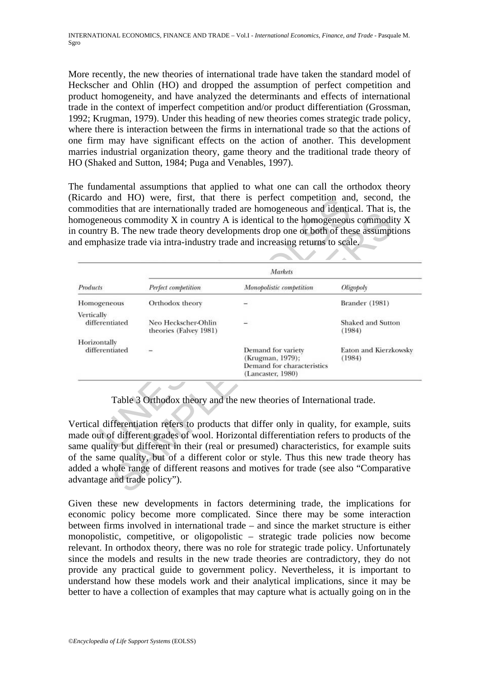More recently, the new theories of international trade have taken the standard model of Heckscher and Ohlin (HO) and dropped the assumption of perfect competition and product homogeneity, and have analyzed the determinants and effects of international trade in the context of imperfect competition and/or product differentiation (Grossman, 1992; Krugman, 1979). Under this heading of new theories comes strategic trade policy, where there is interaction between the firms in international trade so that the actions of one firm may have significant effects on the action of another. This development marries industrial organization theory, game theory and the traditional trade theory of HO (Shaked and Sutton, 1984; Puga and Venables, 1997).

The fundamental assumptions that applied to what one can call the orthodox theory (Ricardo and HO) were, first, that there is perfect competition and, second, the commodities that are internationally traded are homogeneous and identical. That is, the homogeneous commodity X in country A is identical to the homogeneous commodity X in country B. The new trade theory developments drop one or both of these assumptions and emphasize trade via intra-industry trade and increasing returns to scale.

|                                | Markets                                       |                                                                                           |                                 |  |  |
|--------------------------------|-----------------------------------------------|-------------------------------------------------------------------------------------------|---------------------------------|--|--|
| Products                       | Perfect competition                           | Monopolistic competition                                                                  | Oligopoly                       |  |  |
| Homogeneous                    | Orthodox theory                               |                                                                                           | Brander (1981)                  |  |  |
| Vertically<br>differentiated   | Neo Heckscher-Ohlin<br>theories (Falvey 1981) |                                                                                           | Shaked and Sutton<br>(1984)     |  |  |
| Horizontally<br>differentiated |                                               | Demand for variety<br>(Krugman, 1979);<br>Demand for characteristics<br>(Lancaster, 1980) | Eaton and Kierzkowsky<br>(1984) |  |  |

Table 3 Orthodox theory and the new theories of International trade.

Given these new developments in factors determining trade, the implications for economic policy become more complicated. Since there may be some interaction between firms involved in international trade – and since the market structure is either monopolistic, competitive, or oligopolistic – strategic trade policies now become relevant. In orthodox theory, there was no role for strategic trade policy. Unfortunately since the models and results in the new trade theories are contradictory, they do not provide any practical guide to government policy. Nevertheless, it is important to understand how these models work and their analytical implications, since it may be better to have a collection of examples that may capture what is actually going on in the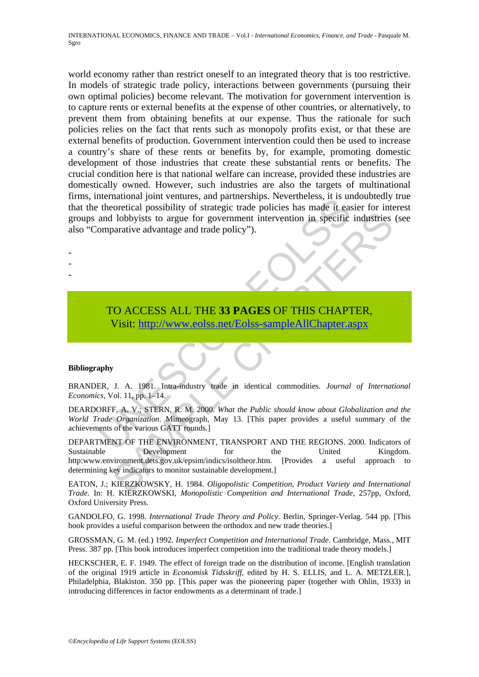INTERNATIONAL ECONOMICS, FINANCE AND TRADE – Vol.I - *International Economics, Finance, and Trade* - Pasquale M. Sgro

International joint ventures, and parties the particular technomical posts in the and lobby is to argue for government intervention in specific and lobby is to argue for government intervention in specific emparative advan world economy rather than restrict oneself to an integrated theory that is too restrictive. In models of strategic trade policy, interactions between governments (pursuing their own optimal policies) become relevant. The motivation for government intervention is to capture rents or external benefits at the expense of other countries, or alternatively, to prevent them from obtaining benefits at our expense. Thus the rationale for such policies relies on the fact that rents such as monopoly profits exist, or that these are external benefits of production. Government intervention could then be used to increase a country's share of these rents or benefits by, for example, promoting domestic development of those industries that create these substantial rents or benefits. The crucial condition here is that national welfare can increase, provided these industries are domestically owned. However, such industries are also the targets of multinational firms, international joint ventures, and partnerships. Nevertheless, it is undoubtedly true that the theoretical possibility of strategic trade policies has made it easier for interest groups and lobbyists to argue for government intervention in specific industries (see also "Comparative advantage and trade policy").

TO ACCESS ALL THE **33 PAGES** OF THIS CHAPTER, Visit: http://www.eolss.net/Eolss-sampleAllChapter.aspx

### **Bibliography**

- - -

BRANDER, J. A. 1981. Intra-industry trade in identical commodities. *Journal of International Economics*, Vol. 11, pp. 1–14.

DEARDORFF, A. V.; STERN, R. M. 2000. *What the Public should know about Globalization and the World Trade Organization*. Mimeograph, May 13. [This paper provides a useful summary of the achievements of the various GATT rounds.]

**SAMPLE CONSTRAINER (FOR THE SAMPLE CONSTRAINER SPECIES ALL THE 33 PAGES OF THIS [CHAP](https://www.eolss.net/ebooklib/sc_cart.aspx?File=E1-23)TER,**<br> **SAMPLE CHAPTER,**<br> **SAMPLE CHAPTER,**<br> **SAMPLE CHAPTER,**<br> **SAMPLE CHAPTER,**<br> **SAMPLE CHAPTER,**<br> **SAMPLE CHAPTER,**<br> **SAMPLE CHAPTER** DEPARTMENT OF THE ENVIRONMENT, TRANSPORT AND THE REGIONS. 2000. Indicators of Sustainable **Sustainable** Development for the United Kingdom. http:www.environment.dets.gov.uk/epsim/indics/isoltheor.htm. [Provides a useful approach to determining key indicators to monitor sustainable development.]

EATON, J.; KIERZKOWSKY, H. 1984. *Oligopolistic Competition, Product Variety and International Trade.* In: H. KIERZKOWSKI, *Monopolistic Competition and International Trade*, 257pp, Oxford, Oxford University Press.

GANDOLFO, G. 1998. *International Trade Theory and Policy*. Berlin, Springer-Verlag. 544 pp. [This book provides a useful comparison between the orthodox and new trade theories.]

GROSSMAN, G. M. (ed.) 1992. *Imperfect Competition and International Trade*. Cambridge, Mass., MIT Press. 387 pp. [This book introduces imperfect competition into the traditional trade theory models.]

HECKSCHER, E. F. 1949. The effect of foreign trade on the distribution of income. [English translation of the original 1919 article in *Economisk Tidsskriff*, edited by H. S. ELLIS, and L. A. METZLER.], Philadelphia, Blakiston. 350 pp. [This paper was the pioneering paper (together with Ohlin, 1933) in introducing differences in factor endowments as a determinant of trade.]